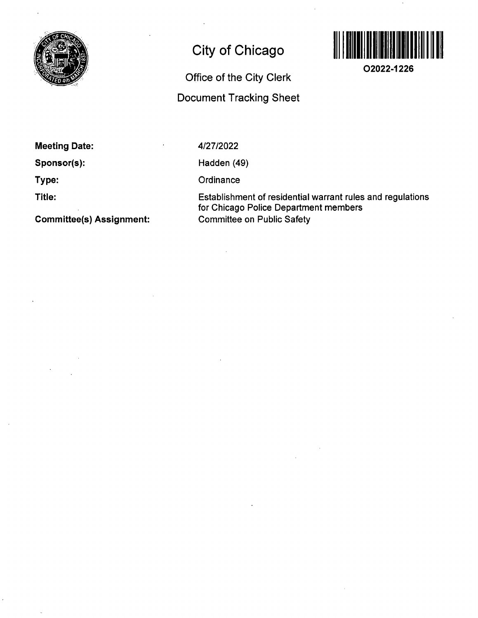

## **City of Chicago**

**Office of the City Clerk** 

**Document Tracking Sheet** 



**O2022-1226** 

**Meeting Date:** 

**Sponsor(s):** 

**Type:** 

**Title:** 

**Committee(s) Assignment:** 

4/27/2022

Hadden (49)

**Ordinance** 

Establishment of residential warrant rules and regulations for Chicago Police Department members Committee on Public Safety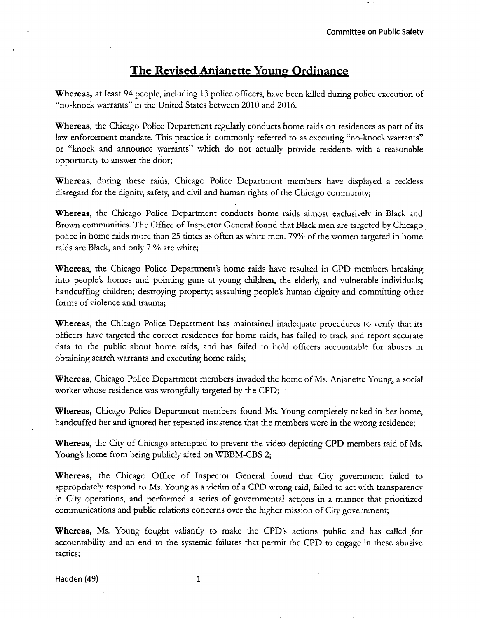## **The Revised Anjanette Young Ordinance**

Whereas, at least 94 people, induding 13 police officers, have been killed during police execution of "no-knock warrants" in the United States between 2010 and 2016.

Whereas, the Chicago Police Department regularly conducts home raids on residences as part of its law enforcement mandate. This practice is commonly referred to as executing "no-knock warrants" or "knock and announce warrants" which do not actually provide residents with a reasonable opportunity to answer the door;

Whereas, during these raids, Chicago Police Department members have displayed a reckless disregard for the dignity, safety, and civil and human rights of the Chicago community;

Whereas, the Chicago Police Department conducts home raids almost exclusively in Black and Brown communities. The Office of Inspector General found that Black men are targeted by Chicago police in home raids more than 25 times as often as white men. 79% of the women targeted in home raids are Black, and only 7 % are white;

Whereas, the Chicago Police Department's home raids have resulted in CPD members breaking into people's homes and pointing guns at young children, the elderly, and vulnerable individuals; handcuffing children; destroying property; assaulting people's human dignity and committing other forms of violence and trauma;

Whereas, the Chicago Police Department has maintained inadequate procedures to verify that its officers have targeted the correct residences for home raids, has failed to track and report accurate data to the public about home raids, and has failed to hold officers accountable for abuses in obtaining search warrants and executing home raids;

Whereas, Chicago Police Department members invaded the home of Ms. Anjanette Young, a social worker whose residence was wrongfully targeted by the CPD;

Whereas, Chicago Police Department members found Ms. Young completely naked in her home, handcuffed her and ignored her repeated insistence that the members were in the wrong residence;

Whereas, the City of Chicago attempted to prevent the video depicting CPD members raid of Ms. Young's home from being publicly aired on WBBM-CBS 2;

Whereas, the Chicago Office of Inspector General found that City government failed to appropriately respond to Ms. Young as a victim of a CPD wrong raid, failed to act with transparency in City operations, and performed a series of governmental actions in a manner that prioritized communications and public relations concerns over the higher mission of City government;

Whereas, Ms. Young fought valiantly to make the CPD's actions public and has called for accountability and an end to the systemic failures that permit the CPD to engage in these abusive tactics;

Hadden (49) 1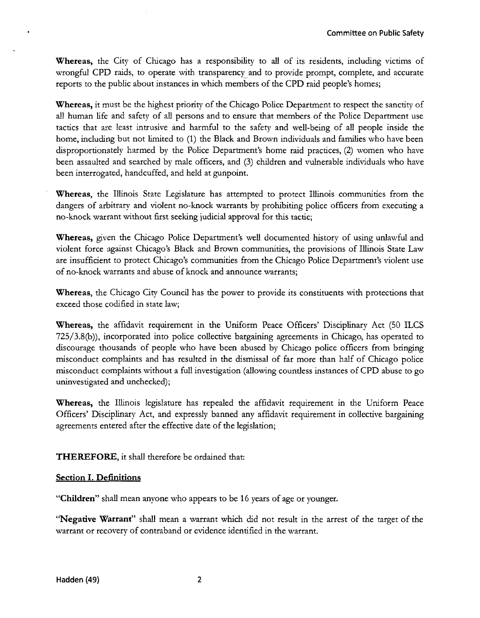Whereas, the City of Chicago has a responsibility to all of its residents, including victims of wrongful CPD raids, to operate with transparency and to provide prompt, complete, and accurate reports to the public about instances in which members of the CPD raid people's homes;

Whereas, it must be the highest priority of the Chicago Police Department to respect the sanctity of all human life and safety of all persons and to ensure that members of the Police Department use tactics that are least intrusive and harmful to the safety and well-being of all people inside the home, including but not limited to (1) the Black and Brown individuals and families who have been disproportionately harmed by the Police Department's home raid practices, (2) women who have been assaulted and searched by male officers, and (3) children and vulnerable individuals who have been interrogated, handcuffed, and held at gunpoint.

Whereas, the Illinois State Legislature has attempted to protect Illinois communities from the dangers of arbitrary and violent no-knock warrants by prohibiting police officers from executing a no-knock warrant without first seeking judicial approval for this tactic;

Whereas, given the Chicago Police Department's well documented history of using unlawful and violent force against Chicago's Black and Brown communities, the provisions of Illinois State Law are insufficient to protect Chicago's communities from the Chicago Police Department's violent use of no-knock warrants and abuse of knock and announce warrants;

Whereas, the Chicago City Council has the power to provide its constituents with protections that exceed those codified in state law;

Whereas, the affidavit requirement in the Uniform Peace Officers' Disciplinary Act (50 ILCS  $725/3.8(b)$ ), incorporated into police collective bargaining agreements in Chicago, has operated to discourage thousands of people who have been abused by Chicago police officers from bringing misconduct complaints and has resulted in the dismissal of far more than half of Chicago police misconduct complaints without a full investigation (allowing countless instances of CPD abuse to go uninvestigated and unchecked);

Whereas, the Illinois legislature has repealed the affidavit requirement in the Uniform Peace Officers' Disciplinary Act, and expressly banned any affidavit requirement in collective bargaining agreements entered after the effective date of the legislation;

**THEREFORE**, it shall therefore be ordained that:

## **Section I. Definitions**

"Children" shall mean anyone who appears to be 16 years of age or younger.

"Negative Warrant" shall mean a warrant which did not result in the arrest of the target of the warrant or recovery of contraband or evidence identified in the warrant.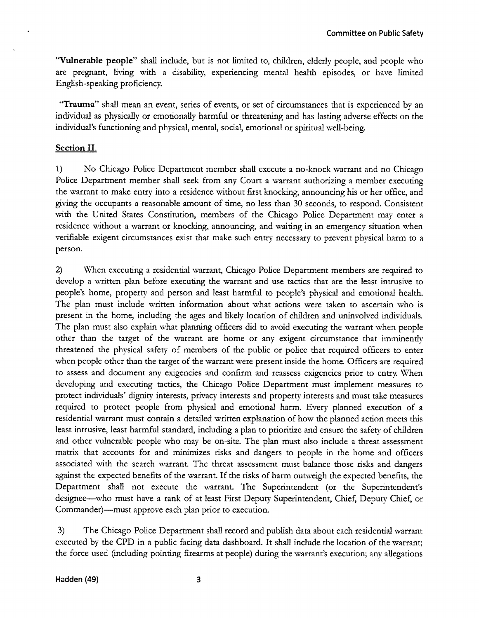"Vulnerable people" shall include, but is not limited to, children, elderly people, and people who are pregnant, living with a disability, experiencing mental health episodes, or have limited English-speaking proficiency.

"Trauma" shall mean an event, series of events, or set of circumstances that is experienced by an individual as physicaUy or emotionally harmful or threatening and has lasting adverse effects on the individual's functioning and physical, mental, social, emotional or spiritual well-being.

## **Section II.**

1) No Chicago Police Department member shall execute a no-knock warrant and no Chicago Police Department member shall seek from any Court a warrant authorizing a member executing the warrant to make entry into a residence without first knocking, announcing his or her office, and giving the occupants a reasonable amount of time, no less than 30 seconds, to respond. Consistent with the United States Constitution, members of the Chicago Police Department may enter a residence without a warrant or knocking, announcing, and waiting in an emergency situation when verifiable exigent circumstances exist that make such entry necessary to prevent physical harm to a person.

2) When executing a residential warrant, Chicago Police Department members are required to develop a written plan before executing the warrant and use tactics that are the least intrusive to people's home, property and person and least harmful to people's physical and emotional health. The plan must include written information about what actions were taken to ascertain who is present in the home, including the ages and likely location of children and uninvolved individuals. The plan must also explain what planning officers did to avoid executing the warrant when people other than the target of the warrant are home or any exigent circumstance that imminently threatened the physical safety of members of the public or police that required officers to enter when people other than the target of the warrant were present inside the home. Officers are required to assess and document any exigencies and confirm and reassess exigencies prior to entry. When developing and executing tactics, the Chicago Police Department must implement measures to protect individuals' dignity interests, privacy interests and property interests and must take measures required to protect people from physical and emotional harm. Every planned execution of a residential warrant must contain a detailed written explanation of how the planned action meets this least intrusive, least harmful standard, including a plan to prioritize and ensure the safety of children and other vulnerable people who may be on-site. The plan must also include a threat assessment matrix that accounts for and minimizes risks and dangers to people in the home and officers associated with the search warrant. The threat assessment must balance those risks and dangers against the expected benefits of the warrant. If the risks of harm outweigh the expected benefits, the Department shall not execute the warrant. The Superintendent (or the Superintendent's designee—who must have a rank of at least First Deputy Superintendent, Chief, Deputy Chief, or Commander)—must approve each plan prior to execution.

3) The Chicago Police Department shall record and publish data about each residential warrant executed by the CPD in a public facing data dashboard. It shall include the location of the warrant; the force used (including pointing firearms at people) during the warrant's execution; any allegations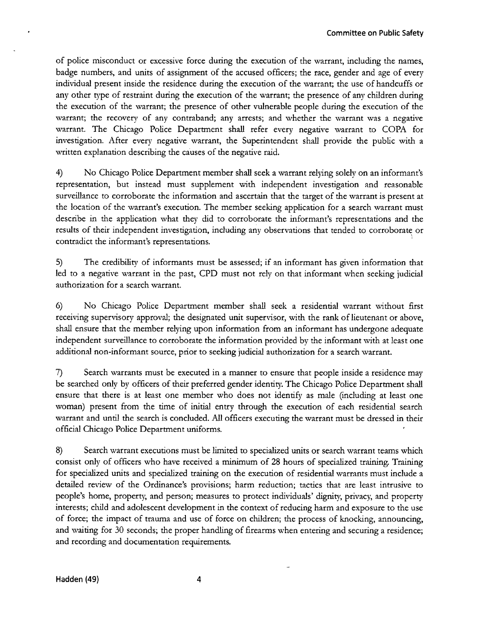of police misconduct or excessive force during the execution of the warrant, including the names, badge numbers, and units of assignment of the accused officers; the race, gender and age of every individual present inside the residence during the execution of the warrant; the use of handcuffs or any other type of restraint during the execution of the warrant; the presence of any children during the execution of the warrant; the presence of other vulnerable people during the execution of the warrant; the recovery of any contraband; any arrests; and whether the warrant was a negative warrant. The Chicago Police Department shall refer every negative warrant to COPA for investigation. After every negative warrant, the Superintendent shall provide the public with a written explanation describing the causes of the negative raid.

4) No Chicago Police Department member shall seek a warrant relying solely on an informant's representation, but instead must supplement with independent investigation and reasonable surveillance to corroborate the information and ascertain that the target of the warrant is present at the location of the warrant's execution. The member seeking application for a search warrant must describe in the application what they did to corroborate the informant's representations and the results of their independent investigation, including any observations that tended to corroborate or contradict the informant's representations.

5) The credibility of informants must be assessed; if an informant has given information that led to a negative warrant in the past, CPD must not rely on that informant when seeking judicial authorization for a search warrant.

6) No Chicago Police Department member shaU seek a residential warrant without first receiving supervisory approval; the designated unit supervisor, with the rank of lieutenant or above, shall ensure that the member relying upon information from an informant has undergone adequate independent surveillance to corroborate the information provided by the informant with at least one additional non-informant source, prior to seeking judicial authorization for a search warrant.

7) Search warrants must be executed in a manner to ensure that people inside a residence may be searched only by officers of their preferred gender identity. The Chicago Police Department shall ensure that there is at least one member who does not identify as male (including at least one woman) present from the time of initial entry through the execution of each residential search warrant and until the search is concluded. All officers executing the warrant must be dressed in their official Chicago Police Department uniforms.

8) Search warrant executions must be limited to specialized units or search warrant teams which consist only of officers who have received a minimum of 28 hours of specialized training. Training for specialized units and specialized training on the execution of residential warrants must include a detailed review of the Ordinance's provisions; harm reduction; tactics that are least intrusive to people's home, property, and person; measures to protect individuals' dignity, privacy, and property interests; child and adolescent development in the context of reducing harm and exposure to the use of force; the impact of trauma and use of force on children; the process of knocking, announcing, and waiting for 30 seconds; the proper handling of firearms when entering and securing a residence; and recording and documentation requirements.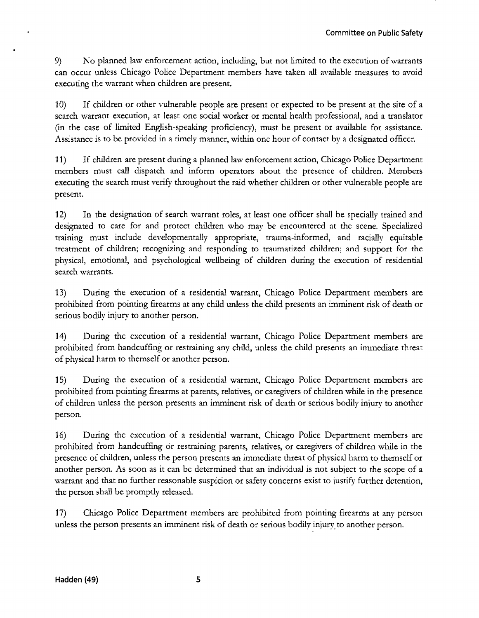9) No planned lavv enforcement action, including, but not Umited to the execution of warrants can occur unless Chicago Police Department members have taken all available measures to avoid executing the warrant when children are present.

10) If children or other vulnerable people are present or expected to be present at the site of a search warrant execution, at least one social worker or mental health professional, and a translator  $(in the case of limited English-speaking proficiency)$ , must be present or available for assistance. Assistance is to be provided in a timely manner, within one hour of contact by a designated officer.

11) If children are present during a planned law enforcement action, Chicago Police Department members must call dispatch and inform operators about the presence of children. Members executing the search must verify throughout the raid whether children or other vulnerable people are present.

12) In the designation of search warrant roles, at least one officer shall be specially trained and designated to care for and protect children who may be encountered at the scene. Specialized training must include developmentally appropriate, trauma-informed, and racially equitable treatment of children; recognizing and responding to traumatized children; and support for the physical, emotional, and psychological weUbeing of children during the execution of residential search warrants.

13) During the execution of a residential warrant, Chicago Police Department members are prohibited from pointing firearms at any child unless the child presents an imminent risk of death or serious bodily injury to another person.

14) During the execution of a residential warrant, Chicago Police Department members are prohibited from handcuffing or restraining any child, unless the child presents an immediate threat of physical harm to themself or another person.

15) During the execution of a residential warrant, Chicago Police Department members are prohibited from pointing firearms at parents, relatives, or caregivers of children while in the presence of children unless the person presents an imminent risk of death or serious bodily injury to another person.

16) During the execution of a residential warrant, Chicago Police Department members are prohibited from handcuffing or restraining parents, relatives, or caregivers of children while in the presence of children, unless the person presents an immediate threat of physical harm to themself or another person. As soon as it can be determined that an individual is not subject to the scope of a warrant and that no further reasonable suspicion or safety concerns exist to justify further detention, the person shall be promptiy released.

17) Chicago Police Department members are prohibited from pointing firearms at any person unless the person presents an imminent risk of death or serious bodily injury to another person.